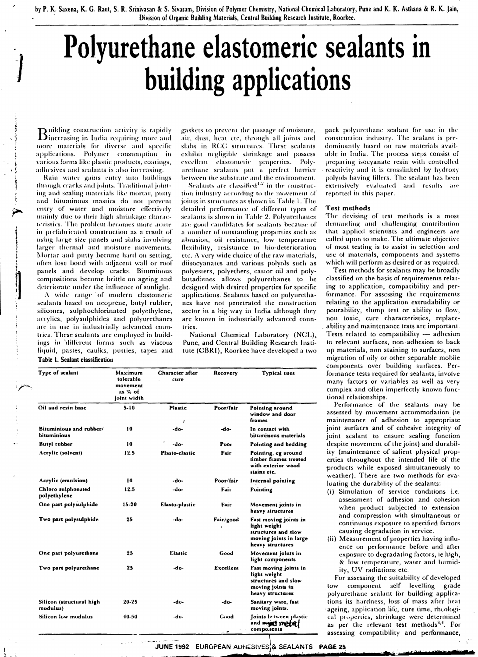by P. K. Saxena, K. G. Raut, S. R. Srinivasan & S. Sivaram, Division of Polymer Chemistry, National Chemical Laboratory, Pune and K. K. Asthana & R. K. Jain, Division of Organic Building Materials, Central Building Research Institute, Roorkee.

# Polyurethane elastomeric sealants in building applications

 $\mathbf B$ uilding construction activity is rapidly<br>Dincreasing in India requiring more and more materials for diverse and specific applications. Polymer consumption in various forms like plastic products, coatings, adhesives and sealants is also increasing.

Rain water gains entry into buildings through cracks and joints. Traditional jointing and sealing materials like mortar, putty and bituminous mastics do not prevent entry of water and moisture effectively mainly due to their high shrinkage characteristics. The problem becomes more acute in prefabricated construction as a result of using large size panels and slabs involving larger thermal and moisture movements. Mortar and putty become hard on setting, often lose bond with adjacent wall or roof panels and develop cracks. Bituminous compositions become brittle on ageing and deteriorate under the influence of sunlight.

A wide range of modern elastomeric sealants based on neoprene, butyl rubber, silicones, sulphochlorinated polyethylene, acrylics, polysulphides and polyurethanes are in use in industrially advanced countries. These sealants are employed in buildiugs in different forms such as viscous liquid, pastes, caulks, putties, tapes and Table 1. Sealant classification

gaskets to prevent the passage of moisture, air, dust, heat etc, through all joints and slabs in RGC structures. These sealants exhibit negligible shrinkage and possess excellent elastomeric properties. Polyurethane sealants put a perfect barrier between the substrate and the environment.

Sealants are classified<sup>1,2</sup> in the construction industry according to the movement of joints in structures as shown in Table 1. The detailed performance of different types of sealants is shown in Table 2. Polyurethanes are good candidates for sealants because of a number of outstanding properties such as abrasion, oil resistance, low temperature flexibility, resistance to bio-deterioration etc. A very wide choice of the raw materials, diisocyanates and various polyols such as polyesters, polyethers, castor oil and polybutadienes allows polyurethanes to be designed with desired properties for specific applications. Sealants based on polyurethanes have not penetrated the construction sector in a big way in India although they are known in industrially advanced countries.

National Chemical Laboratory (NCL), Pune, and Central Building Research Institute (CBRI), Roorkee have developed a two

| Type of sealant                        | Maximum<br>tolerable<br>movement<br>as % of<br>joint width | Character after<br>cure | Recovery    | Typical uses                                                                                               |
|----------------------------------------|------------------------------------------------------------|-------------------------|-------------|------------------------------------------------------------------------------------------------------------|
| Oil and resin base                     | 5-10                                                       | <b>Plastic</b><br>ľ     | Poor/fair   | Pointing around<br>window and door<br>frames                                                               |
| Bituminious and rubber/<br>bituminious | 10                                                         | -do-                    | -do-        | In contact with<br>bituminous materials                                                                    |
| Butyl rubber                           | 10                                                         | -do-                    | Роог        | Pointing and bedding                                                                                       |
| Acrylic (solvent)                      | 12.5                                                       | Plasto-elastic          | Fair        | Pointing, eg around<br>timber frames treated<br>with exterior wood<br>stains etc.                          |
| Acrylic (emulsion)                     | 10                                                         | -do-                    | Poor/fair   | Internal pointing                                                                                          |
| Chloro sulphonated<br>polyethylene     | 12.5                                                       | -do-                    | Fair        | Pointing                                                                                                   |
| One part polysulphide                  | 15-20                                                      | <b>Elasto-plastic</b>   | Fair        | Movement joints in<br>heavy structures                                                                     |
| Two part polysulphide                  | 25                                                         | -do-                    | Fair/good   | Fast moving joints in<br>light weight<br>structures and slow<br>moving joints in large<br>heavy structures |
| One part polyurethane                  | 25                                                         | Elastic                 | Good        | Movement joints in<br>light components                                                                     |
| Two part polyurethane                  | 25                                                         | -do-                    | Excellent   | Fast moving joints in<br>light weight<br>structures and slow<br>moving joints in<br>heavy structures       |
| Silicon (structural high<br>modulus)   | 20-25                                                      | -do-                    | -do-        | Sanitary ware, fast<br>moving joints.                                                                      |
| <b>Silicon low modulus</b>             | $40 - 50$                                                  | -do-                    | Good<br>- 4 | Joints between plastic<br>and ment metel<br>components                                                     |

pack polyurethane sealant for use in the construction industry. The sealant is predominantly based on raw materials available in India. The process steps consist of preparing isocyanate resin with controlled reactivity and it is crosslinked by hydroxy polyols having fillers. The sealant has been extensively evaluated and results are reported in this paper.

#### Test methods

The devising of test methods is a most demanding and challenging contribution that applied scientists and engineers are called upon to make. The ultimate objective of most testing is to assist in selection and use of materials, components and systems which will perform as desired or as required.

Test methods for sealants may be broadly classified on the basis of requirements relating to application, compatibility and performance. For assessing the requirements relating to the application extrudability or pourability, slump test or ability to flow, non toxic, cure characteristics, replaceability and maintenance tests are important. Tests related to compatibility  $-$  adhesion to relevant surfaces, non adhesion to back up materials, non staining to surfaces, non migration of oily or other separable mobile components over building surfaces. Performance tests required for sealants, involve many factors or variables as well as very complex and often imperfectly known functional relationships.

Performance of the sealants may be assessed by movement accommodation (ie maintenance of adhesion to appropriate joint surfaces and of cohesive integrity of joint sealant to ensure sealing function despite movement of the joint) and durability (maintenance of salient physical properties throughout the intended life of the products while exposed simultaneously to weather). There are two methods for evaluating the durability of the sealants:

- (i) Simulation of service conditions i.e. assessment of adhesion and cohesion when product subjected to extension and compression with simultaneous or continuous exposure to specified factors causing degradation in service.
- (ii) Measurement of properties having influence on performance before and after exposure to degradating factors, ie high, & low temperature, water and humidity, UV radiations etc.

For assessing the suitability of developed tow component self levelling grade polyurethane sealant for building applications its hardness, loss of mass after heat ageing, application life, cure time, rheological properties, shrinkage were determined as per the relevant test methods<sup>3,4</sup>. For assessing compatibility and performance,

JUNE 1992 EUROPEAN ADHESIVES & SEALANTS PAGE 25